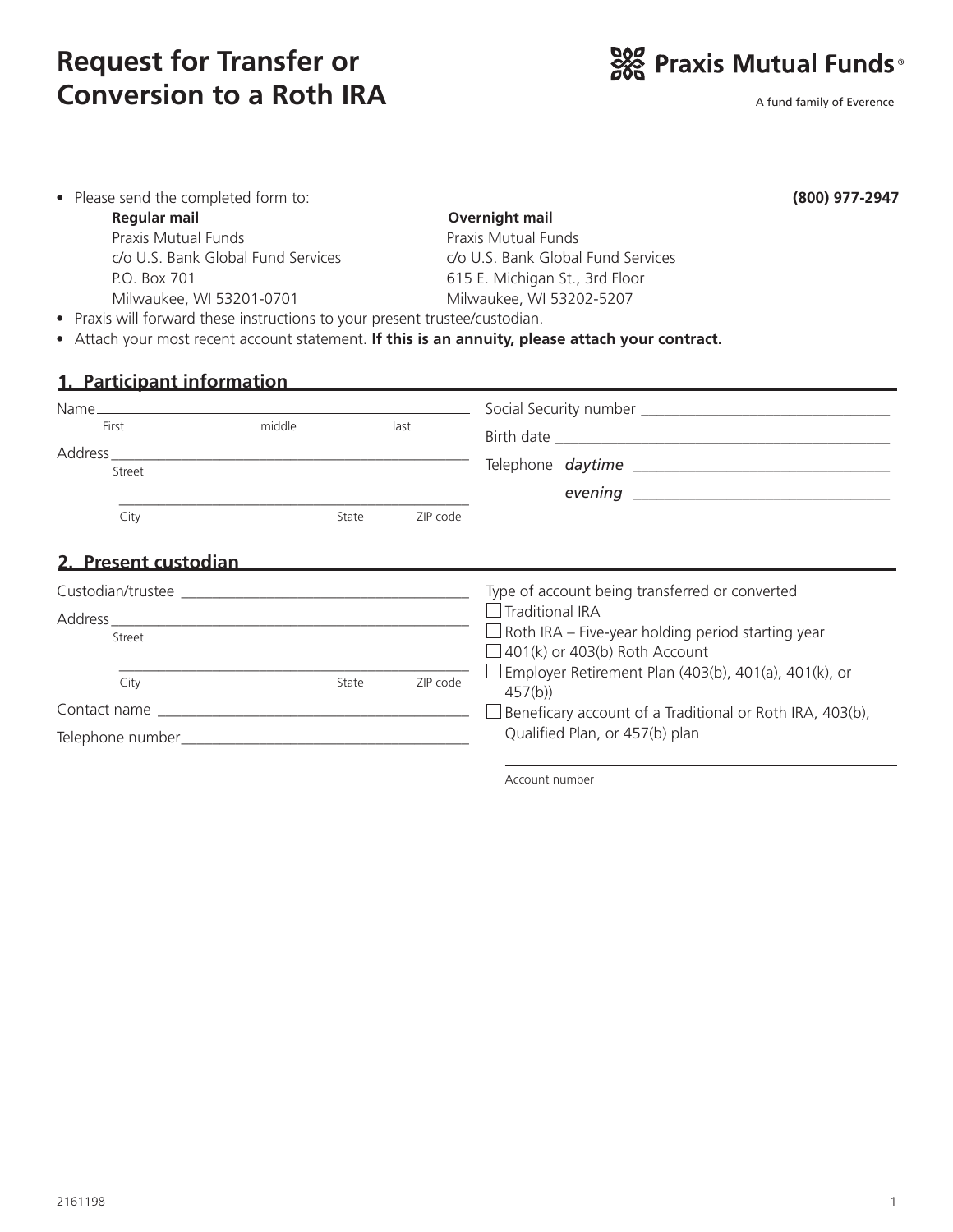# **Request for Transfer or Conversion to a Roth IRA**



A fund family of Everence

| • Please send the completed form to:                                             |                                                                                                                                                                                                                                |                            | (800) 977-2947                                                                                                 |  |  |
|----------------------------------------------------------------------------------|--------------------------------------------------------------------------------------------------------------------------------------------------------------------------------------------------------------------------------|----------------------------|----------------------------------------------------------------------------------------------------------------|--|--|
| <b>Regular mail</b>                                                              |                                                                                                                                                                                                                                |                            | Overnight mail                                                                                                 |  |  |
| <b>Praxis Mutual Funds</b><br>c/o U.S. Bank Global Fund Services<br>P.O. Box 701 |                                                                                                                                                                                                                                | <b>Praxis Mutual Funds</b> |                                                                                                                |  |  |
|                                                                                  |                                                                                                                                                                                                                                |                            | c/o U.S. Bank Global Fund Services                                                                             |  |  |
|                                                                                  |                                                                                                                                                                                                                                |                            | 615 E. Michigan St., 3rd Floor                                                                                 |  |  |
| Milwaukee, WI 53201-0701                                                         |                                                                                                                                                                                                                                | Milwaukee, WI 53202-5207   |                                                                                                                |  |  |
|                                                                                  | • Praxis will forward these instructions to your present trustee/custodian.                                                                                                                                                    |                            |                                                                                                                |  |  |
|                                                                                  |                                                                                                                                                                                                                                |                            | • Attach your most recent account statement. If this is an annuity, please attach your contract.               |  |  |
|                                                                                  |                                                                                                                                                                                                                                |                            |                                                                                                                |  |  |
|                                                                                  |                                                                                                                                                                                                                                |                            | 1. Participant information and the contract of the contract of the contract of the contract of the contract of |  |  |
|                                                                                  |                                                                                                                                                                                                                                |                            |                                                                                                                |  |  |
| First                                                                            | middle                                                                                                                                                                                                                         | last                       |                                                                                                                |  |  |
|                                                                                  |                                                                                                                                                                                                                                |                            |                                                                                                                |  |  |
| Street                                                                           |                                                                                                                                                                                                                                |                            |                                                                                                                |  |  |
|                                                                                  |                                                                                                                                                                                                                                |                            |                                                                                                                |  |  |
| City                                                                             | State                                                                                                                                                                                                                          | ZIP code                   |                                                                                                                |  |  |
|                                                                                  |                                                                                                                                                                                                                                |                            |                                                                                                                |  |  |
| 2. Present custodian                                                             |                                                                                                                                                                                                                                |                            |                                                                                                                |  |  |
|                                                                                  |                                                                                                                                                                                                                                |                            | Type of account being transferred or converted                                                                 |  |  |
|                                                                                  |                                                                                                                                                                                                                                |                            | $\Box$ Traditional IRA                                                                                         |  |  |
| Street                                                                           |                                                                                                                                                                                                                                |                            | $\Box$ Roth IRA – Five-year holding period starting year $\_\_$                                                |  |  |
|                                                                                  |                                                                                                                                                                                                                                |                            | $\Box$ 401(k) or 403(b) Roth Account                                                                           |  |  |
| City                                                                             | State                                                                                                                                                                                                                          | ZIP code                   | Employer Retirement Plan (403(b), 401(a), 401(k), or                                                           |  |  |
|                                                                                  |                                                                                                                                                                                                                                |                            | 457(b)                                                                                                         |  |  |
|                                                                                  | Contact name and the contact name and the contact name of the contact name of the contact of the contact of the contact of the contact of the contact of the contact of the contact of the contact of the contact of the conta |                            | Beneficary account of a Traditional or Roth IRA, 403(b),                                                       |  |  |
| Telephone number                                                                 |                                                                                                                                                                                                                                |                            | Qualified Plan, or 457(b) plan                                                                                 |  |  |

Telephone number\_\_\_\_\_\_\_\_\_\_\_\_\_\_\_\_\_\_\_\_\_\_\_\_\_\_\_\_\_\_\_\_\_\_\_\_\_

Account number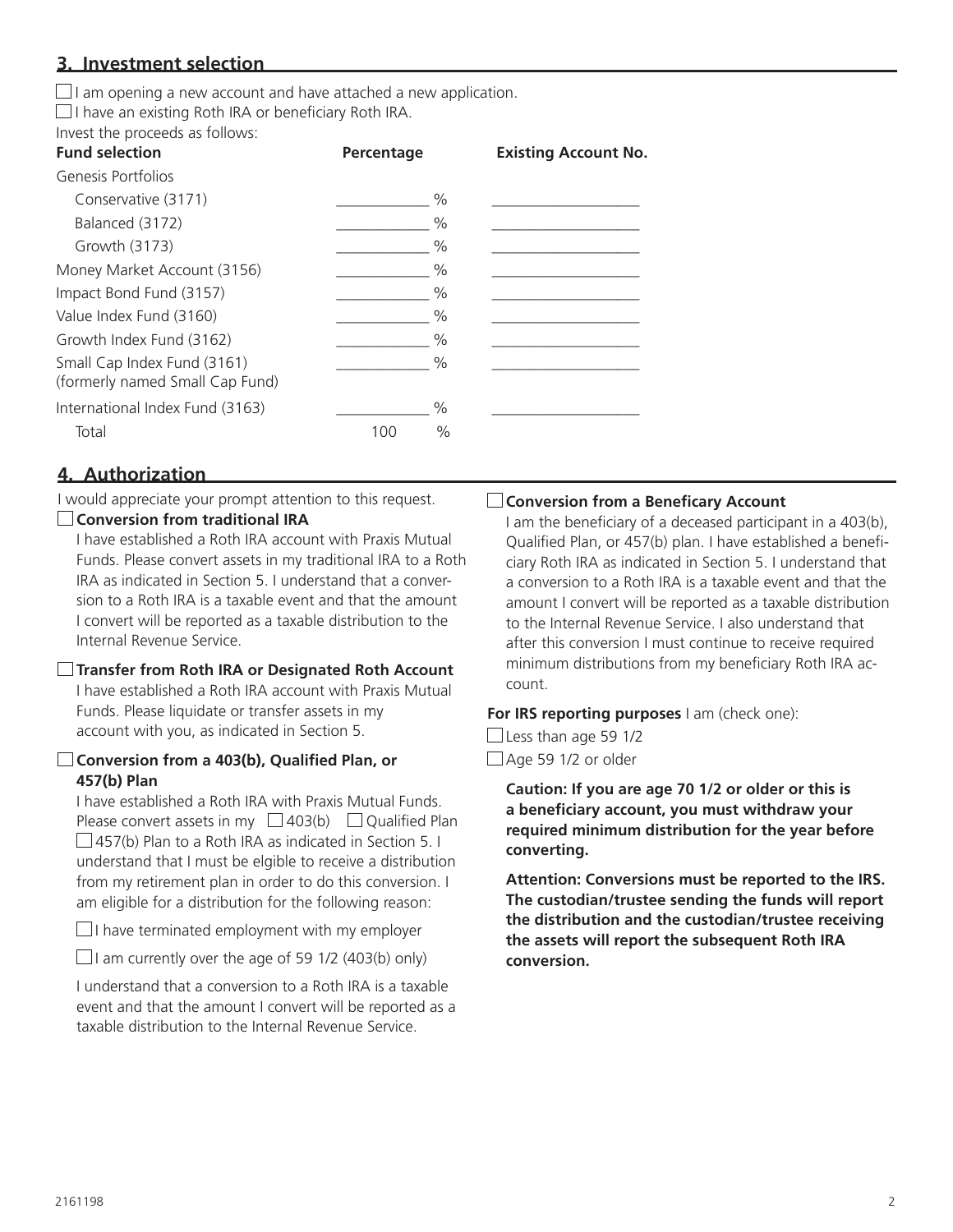# **3. Investment selection**

 $\Box$  I am opening a new account and have attached a new application.

 $\Box$  I have an existing Roth IRA or beneficiary Roth IRA.

Invest the proceeds as follows:

| <b>Fund selection</b>                                          | Percentage  | <b>Existing Account No.</b> |
|----------------------------------------------------------------|-------------|-----------------------------|
| Genesis Portfolios                                             |             |                             |
| Conservative (3171)                                            | $\%$        |                             |
| Balanced (3172)                                                | $\%$        |                             |
| Growth (3173)                                                  | $\%$        |                             |
| Money Market Account (3156)                                    | $\%$        |                             |
| Impact Bond Fund (3157)                                        | $\%$        |                             |
| Value Index Fund (3160)                                        | $\%$        |                             |
| Growth Index Fund (3162)                                       | $\%$        |                             |
| Small Cap Index Fund (3161)<br>(formerly named Small Cap Fund) | $\%$        |                             |
| International Index Fund (3163)                                | $\%$        |                             |
| Total                                                          | $\%$<br>100 |                             |
|                                                                |             |                             |

# **4. Authorization**

I would appreciate your prompt attention to this request.

# **Conversion from traditional IRA**

I have established a Roth IRA account with Praxis Mutual Funds. Please convert assets in my traditional IRA to a Roth IRA as indicated in Section 5. I understand that a conversion to a Roth IRA is a taxable event and that the amount I convert will be reported as a taxable distribution to the Internal Revenue Service.

## **Transfer from Roth IRA or Designated Roth Account**

I have established a Roth IRA account with Praxis Mutual Funds. Please liquidate or transfer assets in my account with you, as indicated in Section 5.

#### **Conversion from a 403(b), Qualified Plan, or 457(b) Plan**

I have established a Roth IRA with Praxis Mutual Funds. Please convert assets in my  $\Box$  403(b)  $\Box$  Qualified Plan  $\Box$  457(b) Plan to a Roth IRA as indicated in Section 5. I understand that I must be elgible to receive a distribution from my retirement plan in order to do this conversion. I am eligible for a distribution for the following reason:

 $\Box$  I have terminated employment with my employer

 $\Box$  I am currently over the age of 59 1/2 (403(b) only)

I understand that a conversion to a Roth IRA is a taxable event and that the amount I convert will be reported as a taxable distribution to the Internal Revenue Service.

#### **Conversion from a Beneficary Account**

I am the beneficiary of a deceased participant in a 403(b), Qualified Plan, or 457(b) plan. I have established a beneficiary Roth IRA as indicated in Section 5. I understand that a conversion to a Roth IRA is a taxable event and that the amount I convert will be reported as a taxable distribution to the Internal Revenue Service. I also understand that after this conversion I must continue to receive required minimum distributions from my beneficiary Roth IRA account.

#### **For IRS reporting purposes** I am (check one):

 $\Box$  Less than age 59 1/2  $\Box$  Age 59 1/2 or older

> **Caution: If you are age 70 1/2 or older or this is a beneficiary account, you must withdraw your required minimum distribution for the year before converting.**

**Attention: Conversions must be reported to the IRS. The custodian/trustee sending the funds will report the distribution and the custodian/trustee receiving the assets will report the subsequent Roth IRA conversion.**